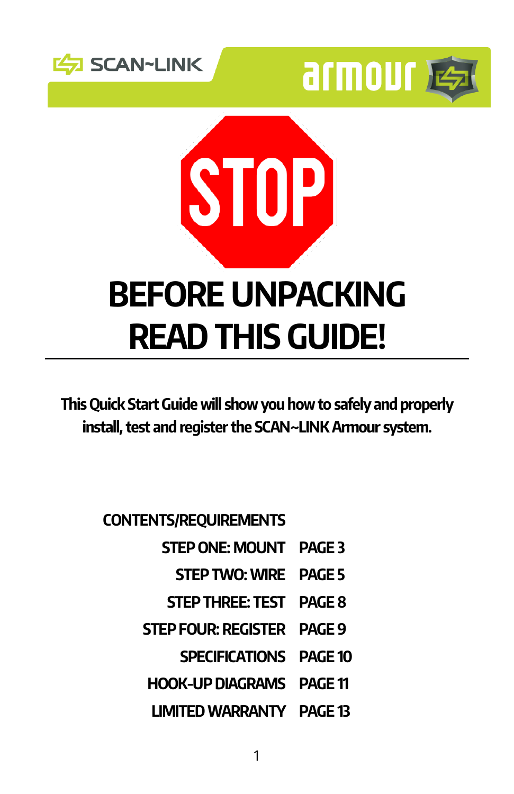





This Quick Start Guide will show you how to safely and properly install, test and register the SCAN~LINK Armour system.

CONTENTS/REQUIREMENTS

- STEP ONE: MOUNT PAGE 3
	- STEP TWO: WIRE PAGE 5
- STEP THREE: TEST PAGE 8
- STEP FOUR: REGISTER PAGE 9
	- SPECIFICATIONS PAGE 10
- HOOK-UP DIAGRAMS PAGE 11
- LIMITED WARRANTY PAGE 13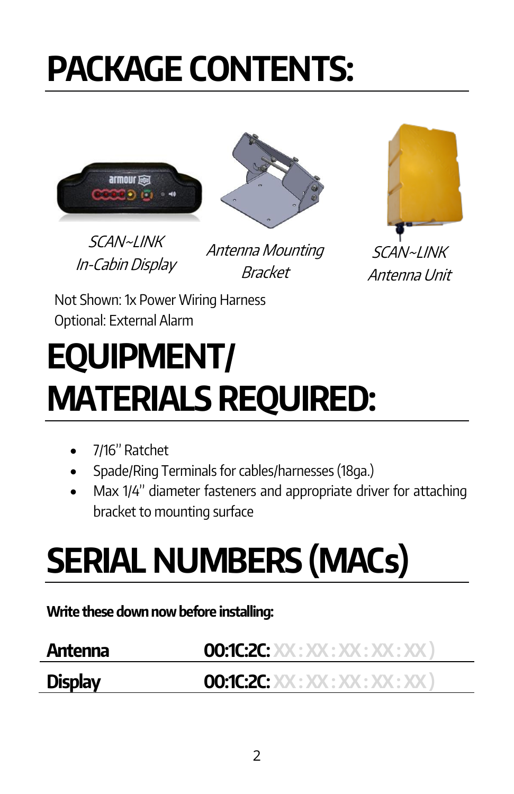# PACKAGE CONTENTS:





SCAN~LINK In-Cabin Display

Antenna Mounting Bracket



Not Shown: 1x Power Wiring Harness Optional: External Alarm

## EQUIPMENT/ MATERIALS REQUIRED:

- 7/16" Ratchet
- Spade/Ring Terminals for cables/harnesses (18ga.)
- Max 1/4" diameter fasteners and appropriate driver for attaching bracket to mounting surface

# SERIAL NUMBERS (MACs)

Write these down now before installing:

| Antenna        | <b>00:1C:2C: XX : XX : XX : XX : XX : XX</b> ) |
|----------------|------------------------------------------------|
| <b>Display</b> | <b>00:1C:2C:</b> XX : XX : XX : XX : XX : XX ) |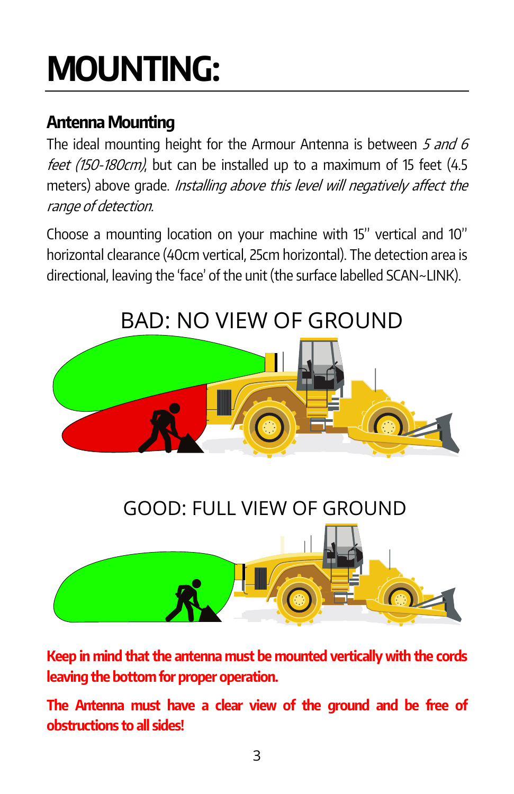# MOUNTING:

### Antenna Mounting

The ideal mounting height for the Armour Antenna is between  $5$  and  $6$ feet (150-180cm), but can be installed up to a maximum of 15 feet (4.5 meters) above grade. *Installing above this level will negatively affect the* range of detection.

Choose a mounting location on your machine with 15" vertical and 10" horizontal clearance (40cm vertical, 25cm horizontal). The detection area is directional, leaving the 'face' of the unit (the surface labelled SCAN~LINK).



Keep in mind that the antenna must be mounted vertically with the cords leaving the bottom for proper operation.

The Antenna must have a clear view of the ground and be free of obstructions to all sides!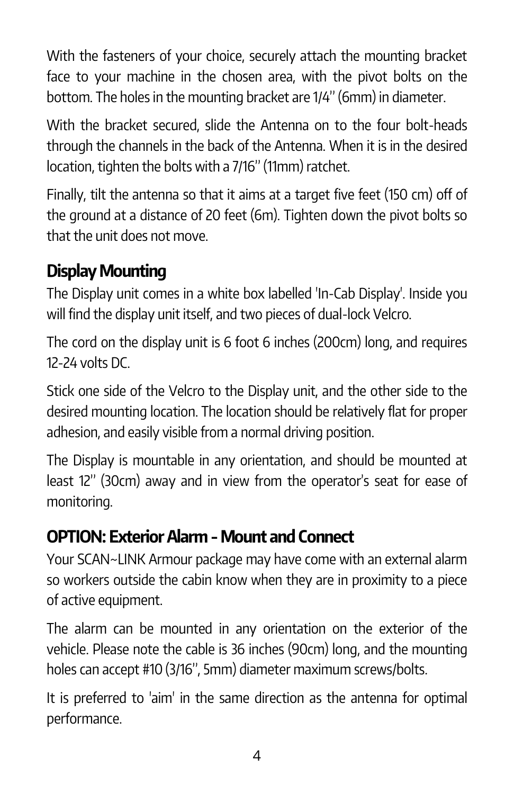With the fasteners of your choice, securely attach the mounting bracket face to your machine in the chosen area, with the pivot bolts on the bottom. The holes in the mounting bracket are 1/4" (6mm) in diameter.

With the bracket secured, slide the Antenna on to the four bolt-heads through the channels in the back of the Antenna. When it is in the desired location, tighten the bolts with a 7/16" (11mm) ratchet.

Finally, tilt the antenna so that it aims at a target five feet (150 cm) off of the ground at a distance of 20 feet (6m). Tighten down the pivot bolts so that the unit does not move.

### Display Mounting

The Display unit comes in a white box labelled 'In-Cab Display'. Inside you will find the display unit itself, and two pieces of dual-lock Velcro.

The cord on the display unit is 6 foot 6 inches (200cm) long, and requires 12-24 volts DC.

Stick one side of the Velcro to the Display unit, and the other side to the desired mounting location. The location should be relatively flat for proper adhesion, and easily visible from a normal driving position.

The Display is mountable in any orientation, and should be mounted at least 12" (30cm) away and in view from the operator's seat for ease of monitoring.

### OPTION: Exterior Alarm -Mount and Connect

Your SCAN~LINK Armour package may have come with an external alarm so workers outside the cabin know when they are in proximity to a piece of active equipment.

The alarm can be mounted in any orientation on the exterior of the vehicle. Please note the cable is 36 inches (90cm) long, and the mounting holes can accept #10 (3/16", 5mm) diameter maximum screws/bolts.

It is preferred to 'aim' in the same direction as the antenna for optimal performance.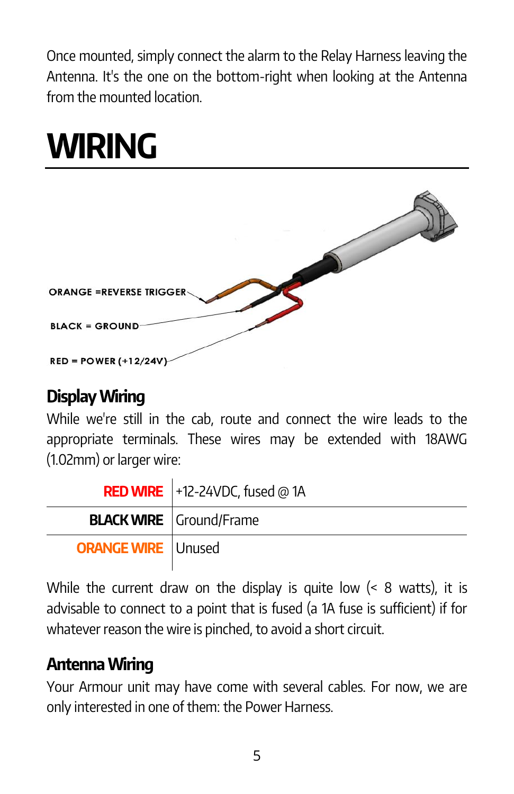Once mounted, simply connect the alarm to the Relay Harness leaving the Antenna. It's the one on the bottom-right when looking at the Antenna from the mounted location.

## WIRING

| <b>ORANGE = REVERSE TRIGGER-</b> |
|----------------------------------|
| <b>BLACK = GROUND</b>            |
| $RED = POWER (+12/24V)$          |

#### Display Wiring

While we're still in the cab, route and connect the wire leads to the appropriate terminals. These wires may be extended with 18AWG (1.02mm) or larger wire:

|                           | <b>RED WIRE</b> $+12-24VDC$ , fused @ 1A |  |
|---------------------------|------------------------------------------|--|
|                           | <b>BLACK WIRE</b> Ground/Frame           |  |
| <b>ORANGE WIRE</b> Unused |                                          |  |

While the current draw on the display is quite low (< 8 watts), it is advisable to connect to a point that is fused (a 1A fuse is sufficient) if for whatever reason the wire is pinched, to avoid a short circuit.

### Antenna Wiring

Your Armour unit may have come with several cables. For now, we are only interested in one of them: the Power Harness.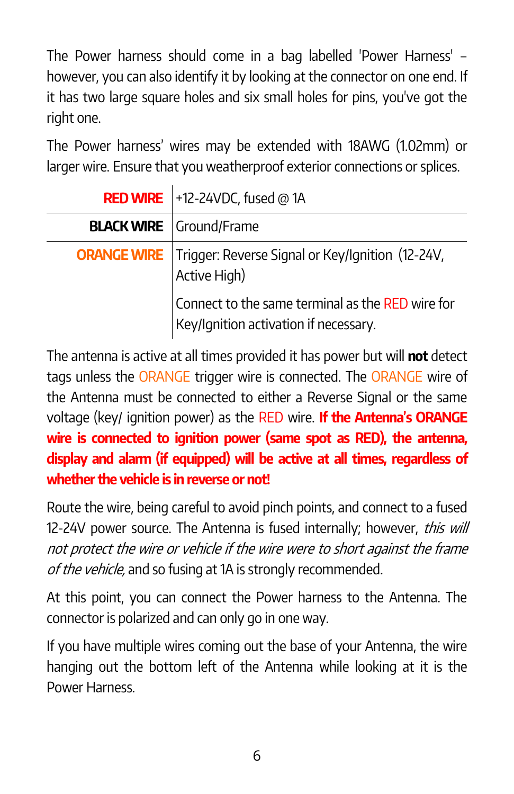The Power harness should come in a bag labelled 'Power Harness' – however, you can also identify it by looking at the connector on one end. If it has two large square holes and six small holes for pins, you've got the right one.

The Power harness' wires may be extended with 18AWG (1.02mm) or larger wire. Ensure that you weatherproof exterior connections or splices.

| <b>RED WIRE</b> +12-24VDC, fused @ 1A                                                     |  |
|-------------------------------------------------------------------------------------------|--|
| <b>BLACK WIRE</b> Ground/Frame                                                            |  |
| <b>ORANGE WIRE</b> Trigger: Reverse Signal or Key/Ignition (12-24V,<br>Active High)       |  |
| Connect to the same terminal as the RED wire for<br>Key/Ignition activation if necessary. |  |

The antenna is active at all times provided it has power but will not detect tags unless the ORANGE trigger wire is connected. The ORANGE wire of the Antenna must be connected to either a Reverse Signal or the same voltage (key/ ignition power) as the RED wire. If the Antenna's ORANGE wire is connected to ignition power (same spot as RED), the antenna, display and alarm (if equipped) will be active at all times, regardless of whether the vehicle is in reverse or not!

Route the wire, being careful to avoid pinch points, and connect to a fused 12-24V power source. The Antenna is fused internally; however, this will not protect the wire or vehicle if the wire were to short against the frame of the vehicle, and so fusing at 1A is strongly recommended.

At this point, you can connect the Power harness to the Antenna. The connector is polarized and can only go in one way.

If you have multiple wires coming out the base of your Antenna, the wire hanging out the bottom left of the Antenna while looking at it is the Power Harness.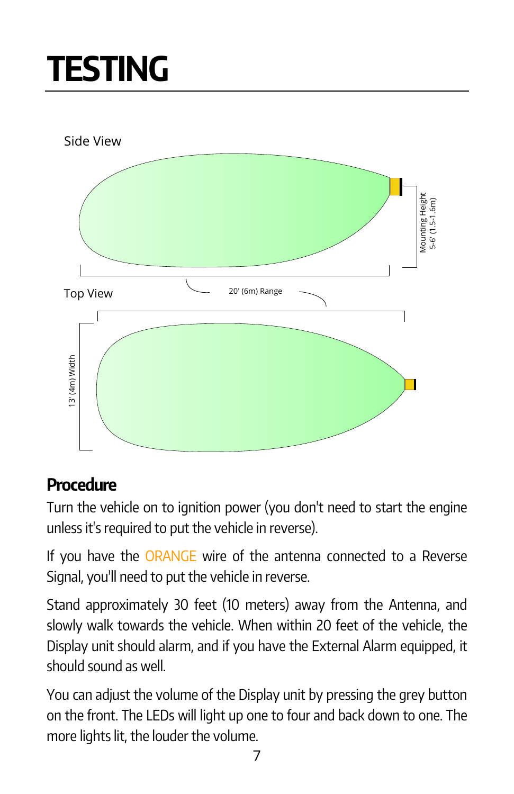## TESTING



### **Procedure**

Turn the vehicle on to ignition power (you don't need to start the engine unless it's required to put the vehicle in reverse).

If you have the ORANGE wire of the antenna connected to a Reverse Signal, you'll need to put the vehicle in reverse.

Stand approximately 30 feet (10 meters) away from the Antenna, and slowly walk towards the vehicle. When within 20 feet of the vehicle, the Display unit should alarm, and if you have the External Alarm equipped, it should sound as well.

You can adjust the volume of the Display unit by pressing the grey button on the front. The LEDs will light up one to four and back down to one. The more lights lit, the louder the volume.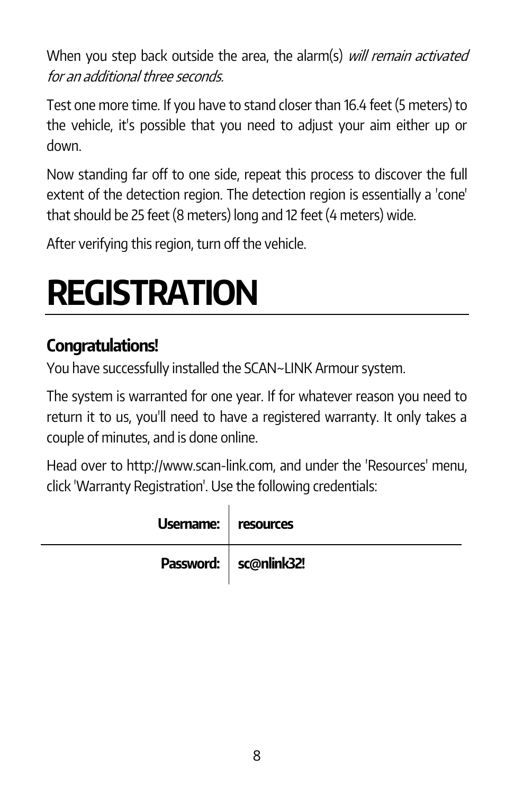When you step back outside the area, the alarm(s) will remain activated for an additional three seconds.

Test one more time. If you have to stand closer than 16.4 feet (5 meters) to the vehicle, it's possible that you need to adjust your aim either up or down.

Now standing far off to one side, repeat this process to discover the full extent of the detection region. The detection region is essentially a 'cone' that should be 25 feet (8 meters) long and 12 feet (4 meters) wide.

After verifying this region, turn off the vehicle.

## REGISTRATION

#### Congratulations!

You have successfully installed the SCAN~LINK Armour system.

The system is warranted for one year. If for whatever reason you need to return it to us, you'll need to have a registered warranty. It only takes a couple of minutes, and is done online.

Head over to http://www.scan-link.com, and under the 'Resources' menu, click 'Warranty Registration'. Use the following credentials:

| Usemame:   resources |                         |
|----------------------|-------------------------|
|                      | Password:   sc@nlink32! |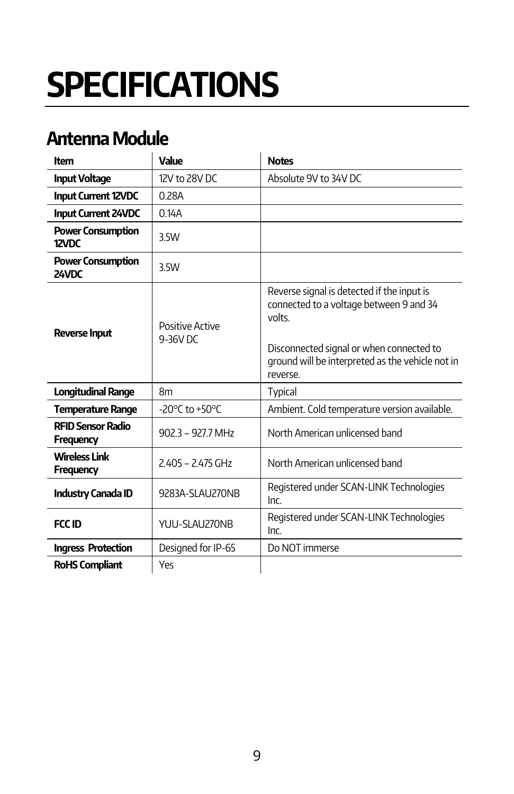# **SPECIFICATIONS**

### Antenna Module

| ltem                                         | Value                              | <b>Notes</b>                                                                                                                                                                                              |
|----------------------------------------------|------------------------------------|-----------------------------------------------------------------------------------------------------------------------------------------------------------------------------------------------------------|
| <b>Input Voltage</b>                         | 12V to 28V DC                      | Absolute 9V to 34V DC                                                                                                                                                                                     |
| <b>Input Current 12VDC</b>                   | 0.28A                              |                                                                                                                                                                                                           |
| <b>Input Current 24VDC</b>                   | 014A                               |                                                                                                                                                                                                           |
| <b>Power Consumption</b><br>$12$ VDC         | 3.5W                               |                                                                                                                                                                                                           |
| <b>Power Consumption</b><br>24VDC            | 3.5W                               |                                                                                                                                                                                                           |
| <b>Reverse Input</b>                         | Positive Active<br>$9-36V$ DC      | Reverse signal is detected if the input is<br>connected to a voltage between 9 and 34<br>volts<br>Disconnected signal or when connected to<br>ground will be interpreted as the vehicle not in<br>reverse |
| <b>Longitudinal Range</b>                    | 8 <sub>m</sub>                     | <b>Typical</b>                                                                                                                                                                                            |
| <b>Temperature Range</b>                     | -20 $\degree$ C to +50 $\degree$ C | Ambient. Cold temperature version available.                                                                                                                                                              |
| <b>RFID Sensor Radio</b><br><b>Frequency</b> | $9023 - 9277$ MHz                  | North American unlicensed band                                                                                                                                                                            |
| <b>Wireless Link</b><br><b>Frequency</b>     | $2405 - 2475$ GHz                  | North American unlicensed band                                                                                                                                                                            |
| <b>Industry Canada ID</b>                    | 9283A-SLAU270NB                    | Registered under SCAN-LINK Technologies<br>Inc                                                                                                                                                            |
| FCC ID                                       | YUU-SLAU270NB                      | Registered under SCAN-LINK Technologies<br>Inc.                                                                                                                                                           |
| <b>Ingress Protection</b>                    | Designed for IP-65                 | Do NOT immerse                                                                                                                                                                                            |
| <b>RoHS Compliant</b>                        | Yes                                |                                                                                                                                                                                                           |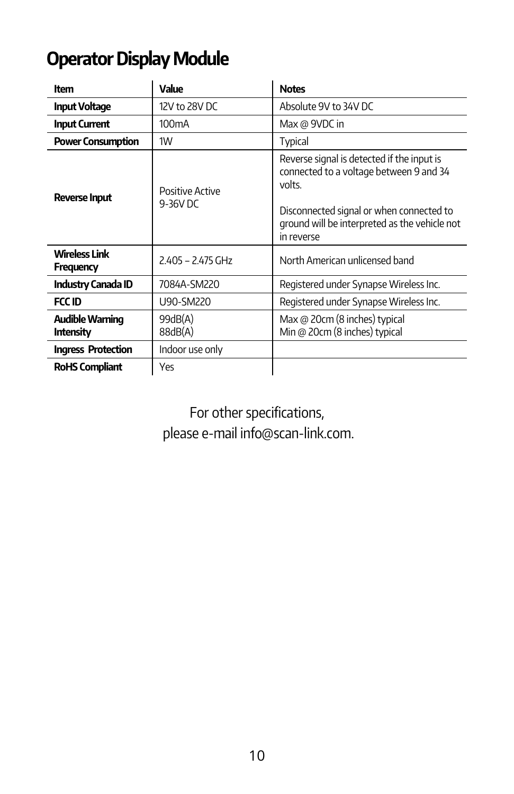### Operator Display Module

| ltem                              | Value                       | <b>Notes</b>                                                                                                                                                                                               |
|-----------------------------------|-----------------------------|------------------------------------------------------------------------------------------------------------------------------------------------------------------------------------------------------------|
| <b>Input Voltage</b>              | 12V to 28V DC               | Absolute 9V to 34V DC                                                                                                                                                                                      |
| <b>Input Current</b>              | 100 <sub>m</sub> A          | Max @ 9VDC in                                                                                                                                                                                              |
| <b>Power Consumption</b>          | 1W                          | Typical                                                                                                                                                                                                    |
| <b>Reverse Input</b>              | Positive Active<br>9-36V DC | Reverse signal is detected if the input is<br>connected to a voltage between 9 and 34<br>volts.<br>Disconnected signal or when connected to<br>ground will be interpreted as the vehicle not<br>in reverse |
| Wireless Link<br><b>Frequency</b> | 2.405 - 2.475 GHz           | North American unlicensed band                                                                                                                                                                             |
| <b>Industry Canada ID</b>         | 7084A-SM220                 | Registered under Synapse Wireless Inc.                                                                                                                                                                     |
| <b>FCC ID</b>                     | U90-SM220                   | Registered under Synapse Wireless Inc.                                                                                                                                                                     |
| Audible Warning<br>Intensity      | 99dB(A)<br>88dB(A)          | Max @ 20cm (8 inches) typical<br>Min @ 20cm (8 inches) typical                                                                                                                                             |
| <b>Ingress Protection</b>         | Indoor use only             |                                                                                                                                                                                                            |
| <b>RoHS Compliant</b>             | Yes                         |                                                                                                                                                                                                            |

For other specifications, please e-mail info@scan-link.com.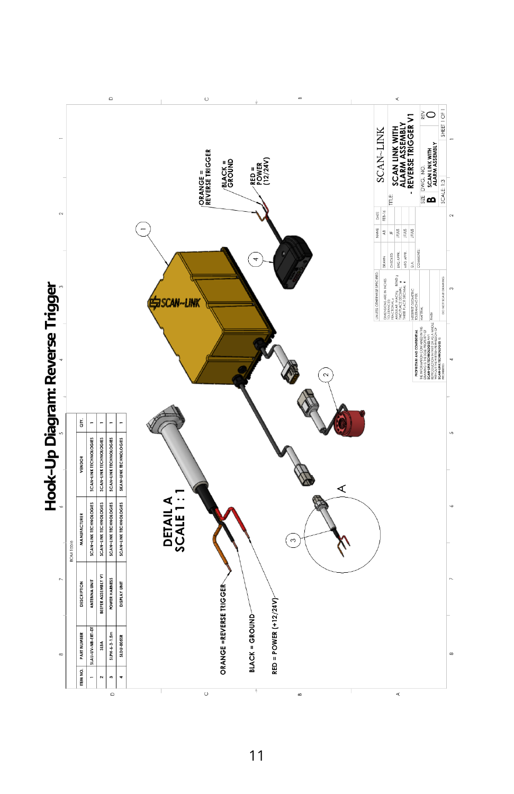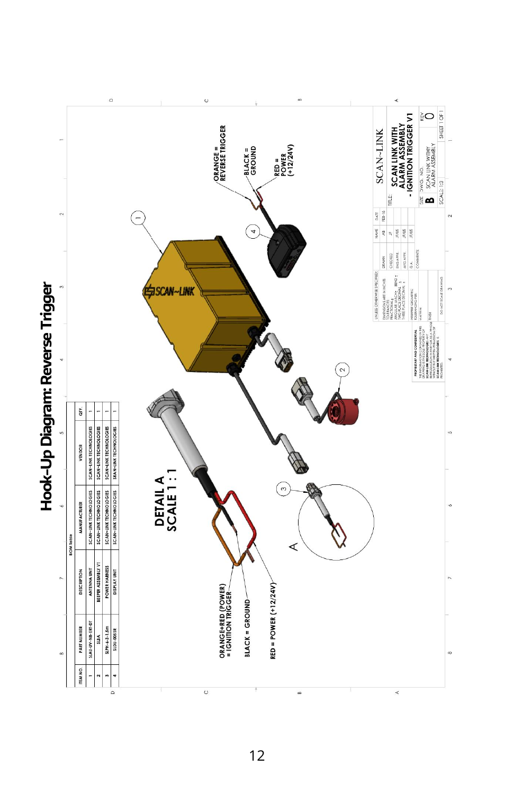

#### 12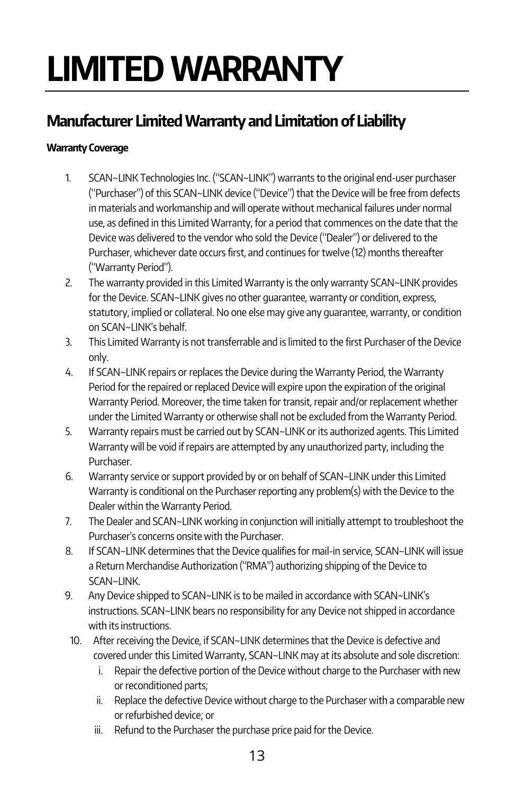# LIMITED WARRANTY

#### Manufacturer Limited Warranty and Limitation of Liability

#### Warranty Coverage

- 1. SCAN~LINK Technologies Inc. ("SCAN~LINK") warrants to the original end-user purchaser ("Purchaser") of this SCAN~LINK device ("Device") that the Device will be free from defects in materials and workmanship and will operate without mechanical failures under normal use, as defined in this Limited Warranty, for a period that commences on the date that the Device was delivered to the vendor who sold the Device ("Dealer") or delivered to the Purchaser, whichever date occurs first, and continues for twelve (12) months thereafter ("Warranty Period").
- 2. The warranty provided in this Limited Warranty is the only warranty SCAN~LINK provides for the Device. SCAN~LINK gives no other guarantee, warranty or condition, express, statutory, implied or collateral. No one else may give any guarantee, warranty, or condition on SCAN~LINK's behalf.
- 3. This Limited Warranty is not transferrable and is limited to the first Purchaser of the Device only.
- 4. If SCAN~LINK repairs or replaces the Device during the Warranty Period, the Warranty Period for the repaired or replaced Device will expire upon the expiration of the original Warranty Period. Moreover, the time taken for transit, repair and/or replacement whether under the Limited Warranty or otherwise shall not be excluded from the Warranty Period.
- 5. Warranty repairs must be carried out by SCAN~LINK or its authorized agents. This Limited Warranty will be void if repairs are attempted by any unauthorized party, including the Purchaser.
- 6. Warranty service or support provided by or on behalf of SCAN~LINK under this Limited Warranty is conditional on the Purchaser reporting any problem(s) with the Device to the Dealer within the Warranty Period.
- 7. The Dealer and SCAN~LINK working in conjunction will initially attempt to troubleshoot the Purchaser's concerns onsite with the Purchaser.
- 8. If SCAN~LINK determines that the Device qualifies for mail-in service, SCAN~LINK will issue a Return Merchandise Authorization ("RMA") authorizing shipping of the Device to SCAN~LINK.
- 9. Any Device shipped to SCAN~LINK is to be mailed in accordance with SCAN~LINK's instructions. SCAN~LINK bears no responsibility for any Device not shipped in accordance with its instructions.
- 10. After receiving the Device, if SCAN~LINK determines that the Device is defective and covered under this Limited Warranty, SCAN~LINK may at its absolute and sole discretion:
	- i. Repair the defective portion of the Device without charge to the Purchaser with new or reconditioned parts;
	- ii. Replace the defective Device without charge to the Purchaser with a comparable new or refurbished device; or
	- iii. Refund to the Purchaser the purchase price paid for the Device.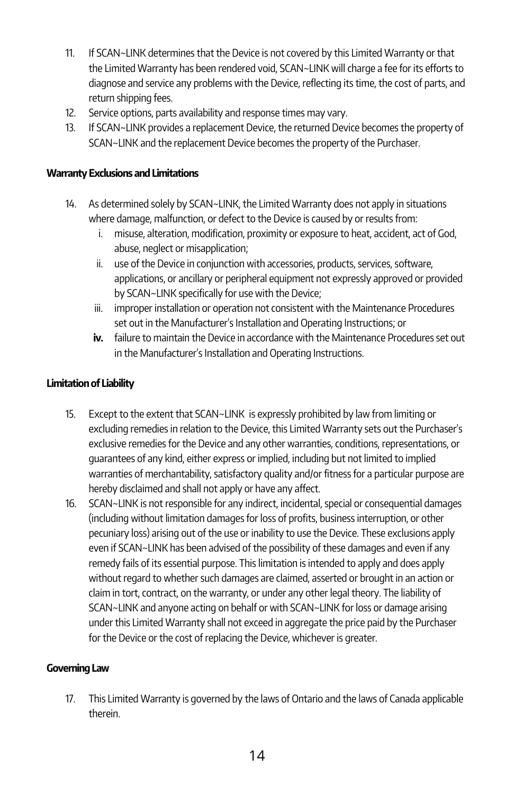- 11. If SCAN~LINK determines that the Device is not covered by this Limited Warranty or that the Limited Warranty has been rendered void, SCAN~LINK will charge a fee for its efforts to diagnose and service any problems with the Device, reflecting its time, the cost of parts, and return shipping fees.
- 12. Service options, parts availability and response times may vary.
- 13. If SCAN~LINK provides a replacement Device, the returned Device becomes the property of SCAN~LINK and the replacement Device becomes the property of the Purchaser.

#### Warranty Exclusions and Limitations

- 14. As determined solely by SCAN~LINK, the Limited Warranty does not apply in situations where damage, malfunction, or defect to the Device is caused by or results from:
	- i. misuse, alteration, modification, proximity or exposure to heat, accident, act of God, abuse, neglect or misapplication;
	- ii. use of the Device in conjunction with accessories, products, services, software, applications, or ancillary or peripheral equipment not expressly approved or provided by SCAN~LINK specifically for use with the Device;
	- iii. improper installation or operation not consistent with the Maintenance Procedures set out in the Manufacturer's Installation and Operating Instructions; or
	- iv. failure to maintain the Device in accordance with the Maintenance Procedures set out in the Manufacturer's Installation and Operating Instructions.

#### Limitation of Liability

- 15. Except to the extent that SCAN~LINK is expressly prohibited by law from limiting or excluding remedies in relation to the Device, this Limited Warranty sets out the Purchaser's exclusive remedies for the Device and any other warranties, conditions, representations, or guarantees of any kind, either express or implied, including but not limited to implied warranties of merchantability, satisfactory quality and/or fitness for a particular purpose are hereby disclaimed and shall not apply or have any affect.
- 16. SCAN~LINK is not responsible for any indirect, incidental, special or consequential damages (including without limitation damages for loss of profits, business interruption, or other pecuniary loss) arising out of the use or inability to use the Device. These exclusions apply even if SCAN~LINK has been advised of the possibility of these damages and even if any remedy fails of its essential purpose. This limitation is intended to apply and does apply without regard to whether such damages are claimed, asserted or brought in an action or claim in tort, contract, on the warranty, or under any other legal theory. The liability of SCAN~LINK and anyone acting on behalf or with SCAN~LINK for loss or damage arising under this Limited Warranty shall not exceed in aggregate the price paid by the Purchaser for the Device or the cost of replacing the Device, whichever is greater.

#### Governing Law

17. This Limited Warranty is governed by the laws of Ontario and the laws of Canada applicable therein.